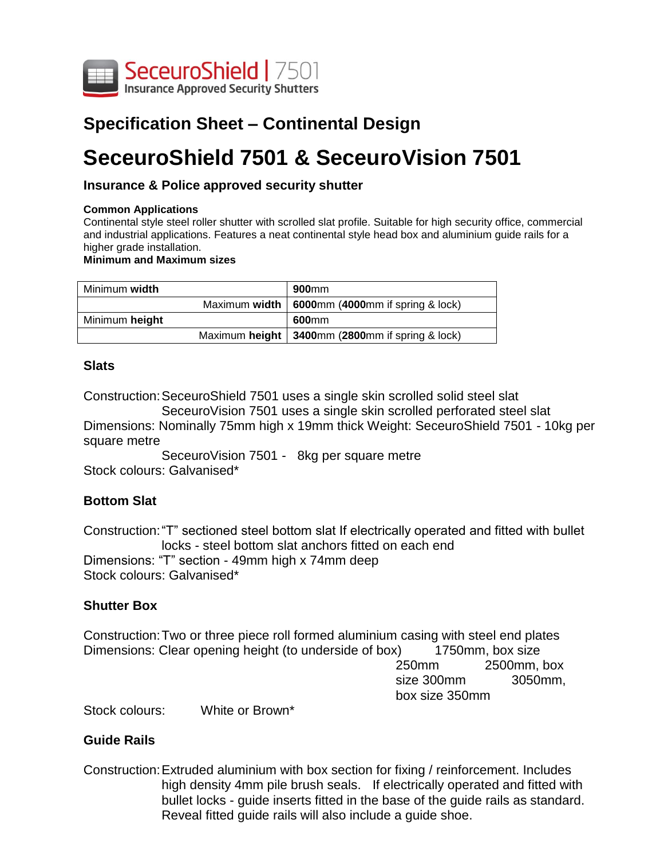

# **Specification Sheet – Continental Design**

# **SeceuroShield 7501 & SeceuroVision 7501**

# **Insurance & Police approved security shutter**

#### **Common Applications**

Continental style steel roller shutter with scrolled slat profile. Suitable for high security office, commercial and industrial applications. Features a neat continental style head box and aluminium guide rails for a higher grade installation.

#### **Minimum and Maximum sizes**

| Minimum width  | 900 <sub>mm</sub>                                   |
|----------------|-----------------------------------------------------|
|                | Maximum width   6000mm $(4000$ mm if spring & lock) |
| Minimum height | 600 <sub>mm</sub>                                   |
|                | Maximum height   3400mm (2800mm if spring & lock)   |

#### **Slats**

Construction:SeceuroShield 7501 uses a single skin scrolled solid steel slat

SeceuroVision 7501 uses a single skin scrolled perforated steel slat Dimensions: Nominally 75mm high x 19mm thick Weight: SeceuroShield 7501 - 10kg per square metre

SeceuroVision 7501 - 8kg per square metre Stock colours: Galvanised\*

## **Bottom Slat**

Construction:"T" sectioned steel bottom slat If electrically operated and fitted with bullet locks - steel bottom slat anchors fitted on each end Dimensions: "T" section - 49mm high x 74mm deep Stock colours: Galvanised\*

## **Shutter Box**

Construction:Two or three piece roll formed aluminium casing with steel end plates Dimensions: Clear opening height (to underside of box) 1750mm, box size 250mm 2500mm, box size 300mm 3050mm, box size 350mm

Stock colours: White or Brown\*

# **Guide Rails**

Construction:Extruded aluminium with box section for fixing / reinforcement. Includes high density 4mm pile brush seals. If electrically operated and fitted with bullet locks - guide inserts fitted in the base of the guide rails as standard. Reveal fitted guide rails will also include a guide shoe.